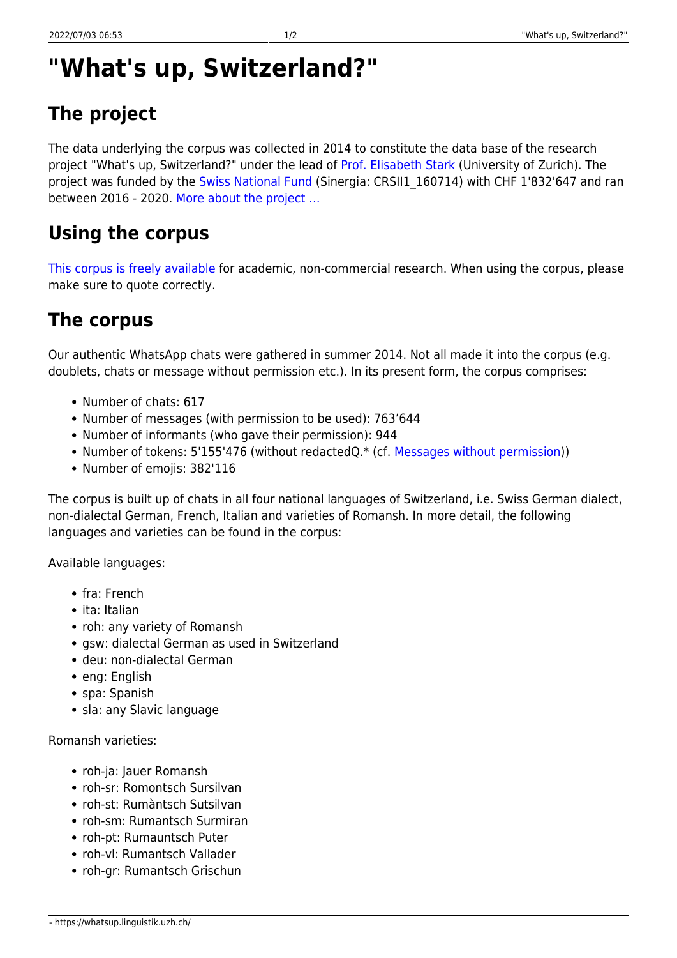# **"What's up, Switzerland?"**

## **The project**

The data underlying the corpus was collected in 2014 to constitute the data base of the research project "What's up, Switzerland?" under the lead of [Prof. Elisabeth Stark](https://www.rose.uzh.ch/de/seminar/wersindwir/mitarbeitende/stark.html) (University of Zurich). The project was funded by the [Swiss National Fund](http://www.snf.ch/en/Pages/default.aspx) (Sinergia: CRSII1 160714) with CHF 1'832'647 and ran between 2016 - 2020. [More about the project …](https://whatsup.linguistik.uzh.ch/3_project)

### **Using the corpus**

[This corpus is freely available](https://corpora.linguistik.uzh.ch/annis/) for academic, non-commercial research. When using the corpus, please make sure to quote correctly.

### **The corpus**

Our authentic WhatsApp chats were gathered in summer 2014. Not all made it into the corpus (e.g. doublets, chats or message without permission etc.). In its present form, the corpus comprises:

- Number of chats: 617
- Number of messages (with permission to be used): 763'644
- Number of informants (who gave their permission): 944
- Number of tokens: 5'155'476 (without redactedQ.\* (cf. [Messages without permission](https://whatsup.linguistik.uzh.ch/01_corpus/02_preprocessing/02_without_permission)))
- Number of emojis: 382'116

The corpus is built up of chats in all four national languages of Switzerland, i.e. Swiss German dialect, non-dialectal German, French, Italian and varieties of Romansh. In more detail, the following languages and varieties can be found in the corpus:

Available languages:

- fra: French
- ita: Italian
- roh: any variety of Romansh
- gsw: dialectal German as used in Switzerland
- deu: non-dialectal German
- eng: English
- spa: Spanish
- sla: any Slavic language

Romansh varieties:

- roh-ja: Jauer Romansh
- roh-sr: Romontsch Sursilvan
- roh-st: Rumàntsch Sutsilvan
- roh-sm: Rumantsch Surmiran
- roh-pt: Rumauntsch Puter
- roh-vl: Rumantsch Vallader
- roh-gr: Rumantsch Grischun